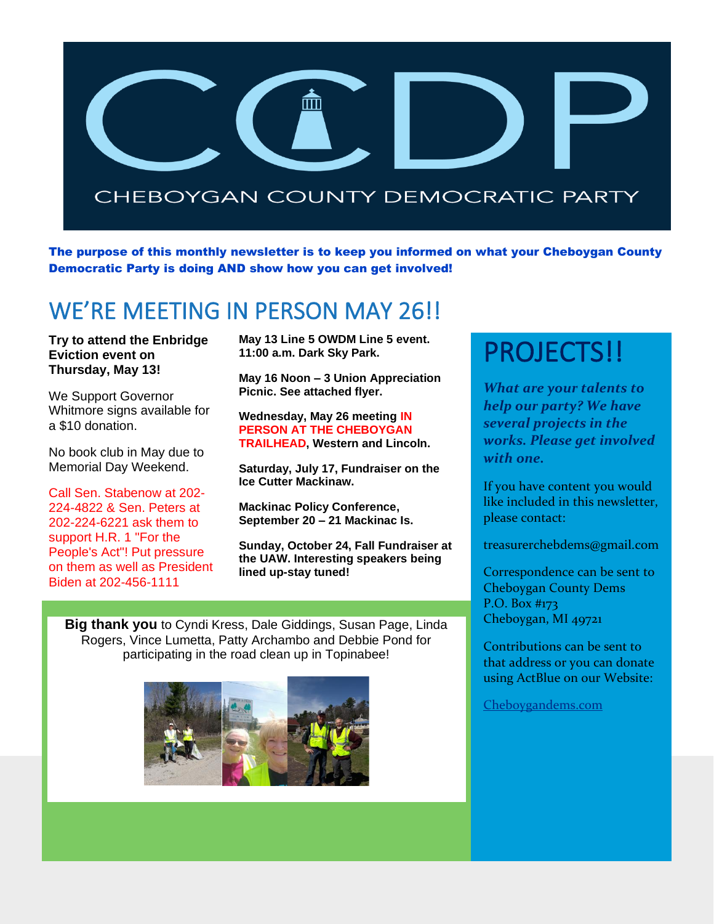

The purpose of this monthly newsletter is to keep you informed on what your Cheboygan County Democratic Party is doing AND show how you can get involved!

## WE'RE MEETING IN PERSON MAY 26!!

**Try to attend the Enbridge Eviction event on Thursday, May 13!**

We Support Governor Whitmore signs available for a \$10 donation.

No book club in May due to Memorial Day Weekend.

Call Sen. Stabenow at 202- 224-4822 & Sen. Peters at 202-224-6221 ask them to support H.R. 1 "For the People's Act"! Put pressure on them as well as President Biden at 202-456-1111

**May 13 Line 5 OWDM Line 5 event. 11:00 a.m. Dark Sky Park.**

**May 16 Noon – 3 Union Appreciation Picnic. See attached flyer.**

**Wednesday, May 26 meeting IN PERSON AT THE CHEBOYGAN TRAILHEAD, Western and Lincoln.**

**Saturday, July 17, Fundraiser on the Ice Cutter Mackinaw.**

**Mackinac Policy Conference, September 20 – 21 Mackinac Is.**

**Sunday, October 24, Fall Fundraiser at the UAW. Interesting speakers being lined up-stay tuned!**

**Big thank you** to Cyndi Kress, Dale Giddings, Susan Page, Linda Rogers, Vince Lumetta, Patty Archambo and Debbie Pond for participating in the road clean up in Topinabee!



## PROJECTS!!

*What are your talents to help our party? We have several projects in the works. Please get involved with one.*

If you have content you would like included in this newsletter, please contact:

treasurerchebdems@gmail.com

Correspondence can be sent to Cheboygan County Dems P.O. Box #173 Cheboygan, MI 49721

Contributions can be sent to that address or you can donate using ActBlue on our Website:

[Cheboygandems.com](http://www.cheboygandems.com/)